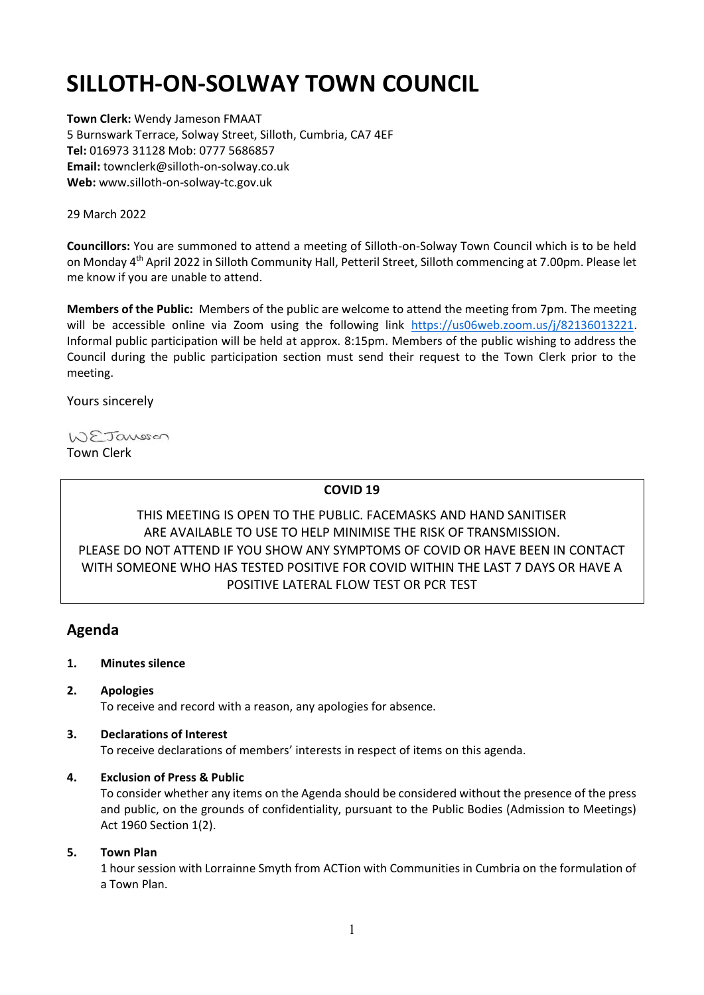# **SILLOTH-ON-SOLWAY TOWN COUNCIL**

**Town Clerk:** Wendy Jameson FMAAT 5 Burnswark Terrace, Solway Street, Silloth, Cumbria, CA7 4EF **Tel:** 016973 31128 Mob: 0777 5686857 **Email:** townclerk@silloth-on-solway.co.uk **Web:** www.silloth-on-solway-tc.gov.uk

#### 29 March 2022

**Councillors:** You are summoned to attend a meeting of Silloth-on-Solway Town Council which is to be held on Monday 4<sup>th</sup> April 2022 in Silloth Community Hall, Petteril Street, Silloth commencing at 7.00pm. Please let me know if you are unable to attend.

**Members of the Public:** Members of the public are welcome to attend the meeting from 7pm. The meeting will be accessible online via Zoom using the following link [https://us06web.zoom.us/j/82136013221.](https://us06web.zoom.us/j/82136013221) Informal public participation will be held at approx. 8:15pm. Members of the public wishing to address the Council during the public participation section must send their request to the Town Clerk prior to the meeting.

Yours sincerely

WEJansson Town Clerk

# **COVID 19**

THIS MEETING IS OPEN TO THE PUBLIC. FACEMASKS AND HAND SANITISER ARE AVAILABLE TO USE TO HELP MINIMISE THE RISK OF TRANSMISSION. PLEASE DO NOT ATTEND IF YOU SHOW ANY SYMPTOMS OF COVID OR HAVE BEEN IN CONTACT WITH SOMEONE WHO HAS TESTED POSITIVE FOR COVID WITHIN THE LAST 7 DAYS OR HAVE A POSITIVE LATERAL FLOW TEST OR PCR TEST

# **Agenda**

- **1. Minutes silence**
- **2. Apologies**

To receive and record with a reason, any apologies for absence.

## **3. Declarations of Interest**

To receive declarations of members' interests in respect of items on this agenda.

## **4. Exclusion of Press & Public**

To consider whether any items on the Agenda should be considered without the presence of the press and public, on the grounds of confidentiality, pursuant to the Public Bodies (Admission to Meetings) Act 1960 Section 1(2).

## **5. Town Plan**

1 hour session with Lorrainne Smyth from ACTion with Communities in Cumbria on the formulation of a Town Plan.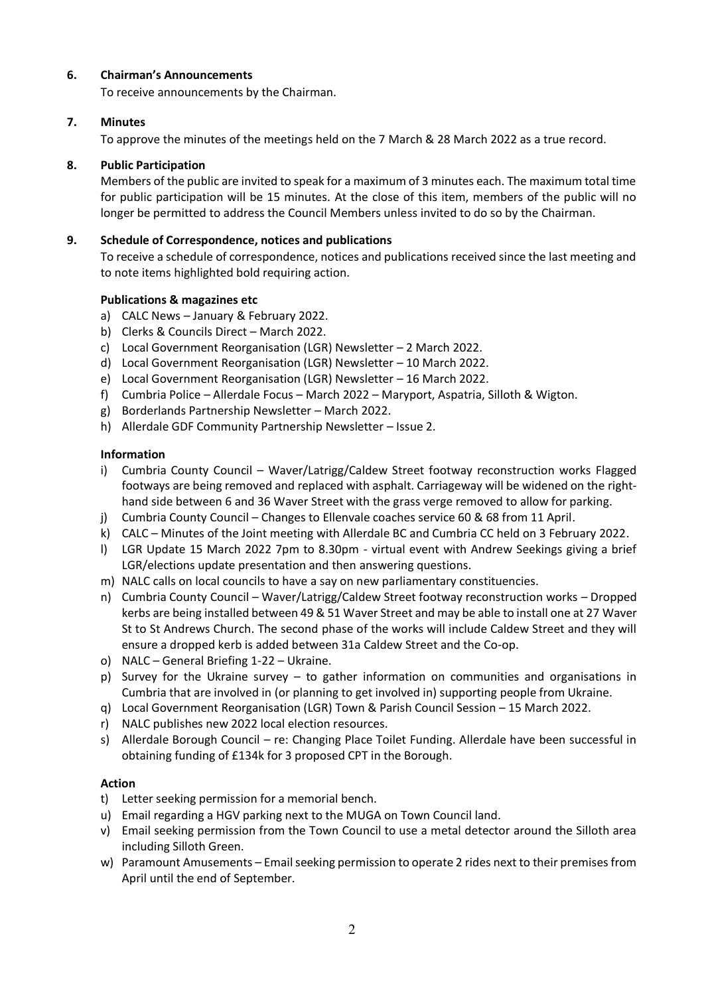# **6. Chairman's Announcements**

To receive announcements by the Chairman.

# **7. Minutes**

To approve the minutes of the meetings held on the 7 March & 28 March 2022 as a true record.

# **8. Public Participation**

Members of the public are invited to speak for a maximum of 3 minutes each. The maximum total time for public participation will be 15 minutes. At the close of this item, members of the public will no longer be permitted to address the Council Members unless invited to do so by the Chairman.

# **9. Schedule of Correspondence, notices and publications**

To receive a schedule of correspondence, notices and publications received since the last meeting and to note items highlighted bold requiring action.

# **Publications & magazines etc**

- a) CALC News January & February 2022.
- b) Clerks & Councils Direct March 2022.
- c) Local Government Reorganisation (LGR) Newsletter 2 March 2022.
- d) Local Government Reorganisation (LGR) Newsletter 10 March 2022.
- e) Local Government Reorganisation (LGR) Newsletter 16 March 2022.
- f) Cumbria Police Allerdale Focus March 2022 Maryport, Aspatria, Silloth & Wigton.
- g) Borderlands Partnership Newsletter March 2022.
- h) Allerdale GDF Community Partnership Newsletter Issue 2.

# **Information**

- i) Cumbria County Council Waver/Latrigg/Caldew Street footway reconstruction works Flagged footways are being removed and replaced with asphalt. Carriageway will be widened on the righthand side between 6 and 36 Waver Street with the grass verge removed to allow for parking.
- j) Cumbria County Council Changes to Ellenvale coaches service 60 & 68 from 11 April.
- k) CALC Minutes of the Joint meeting with Allerdale BC and Cumbria CC held on 3 February 2022.
- l) LGR Update 15 March 2022 7pm to 8.30pm virtual event with Andrew Seekings giving a brief LGR/elections update presentation and then answering questions.
- m) NALC calls on local councils to have a say on new parliamentary constituencies.
- n) Cumbria County Council Waver/Latrigg/Caldew Street footway reconstruction works Dropped kerbs are being installed between 49 & 51 Waver Street and may be able to install one at 27 Waver St to St Andrews Church. The second phase of the works will include Caldew Street and they will ensure a dropped kerb is added between 31a Caldew Street and the Co-op.
- o) NALC General Briefing 1-22 Ukraine.
- p) Survey for the Ukraine survey to gather information on communities and organisations in Cumbria that are involved in (or planning to get involved in) supporting people from Ukraine.
- q) Local Government Reorganisation (LGR) Town & Parish Council Session 15 March 2022.
- r) NALC publishes new 2022 local election resources.
- s) Allerdale Borough Council re: Changing Place Toilet Funding. Allerdale have been successful in obtaining funding of £134k for 3 proposed CPT in the Borough.

## **Action**

- t) Letter seeking permission for a memorial bench.
- u) Email regarding a HGV parking next to the MUGA on Town Council land.
- v) Email seeking permission from the Town Council to use a metal detector around the Silloth area including Silloth Green.
- w) Paramount Amusements Email seeking permission to operate 2 rides next to their premises from April until the end of September.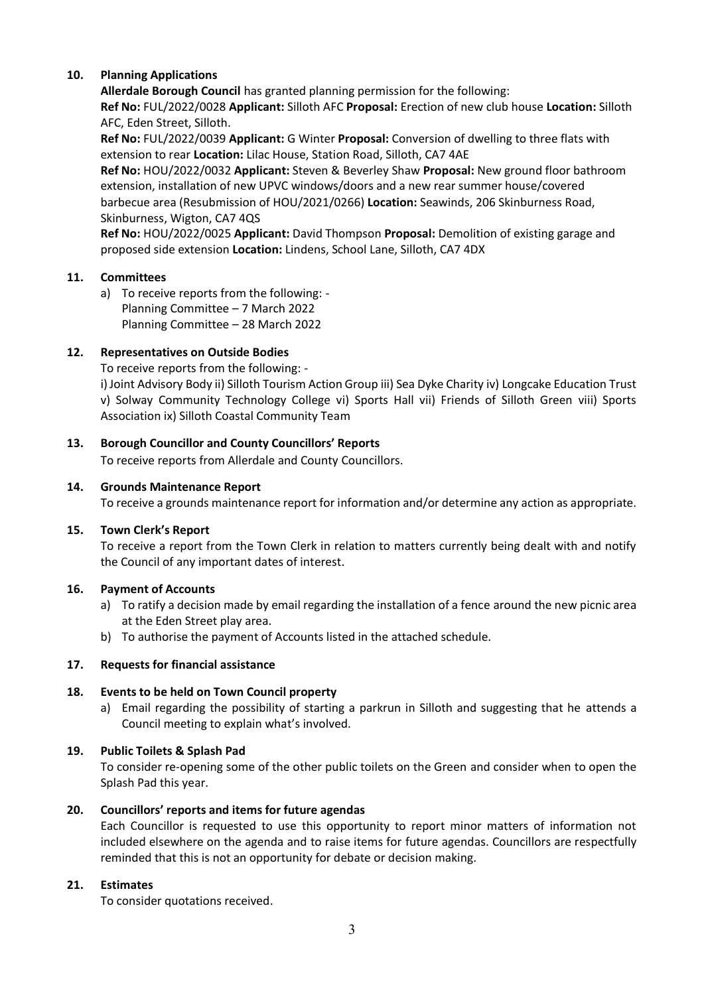# **10. Planning Applications**

**Allerdale Borough Council** has granted planning permission for the following:

**Ref No:** FUL/2022/0028 **Applicant:** Silloth AFC **Proposal:** Erection of new club house **Location:** Silloth AFC, Eden Street, Silloth.

**Ref No:** FUL/2022/0039 **Applicant:** G Winter **Proposal:** Conversion of dwelling to three flats with extension to rear **Location:** Lilac House, Station Road, Silloth, CA7 4AE

**Ref No:** HOU/2022/0032 **Applicant:** Steven & Beverley Shaw **Proposal:** New ground floor bathroom extension, installation of new UPVC windows/doors and a new rear summer house/covered barbecue area (Resubmission of HOU/2021/0266) **Location:** Seawinds, 206 Skinburness Road, Skinburness, Wigton, CA7 4QS

**Ref No:** HOU/2022/0025 **Applicant:** David Thompson **Proposal:** Demolition of existing garage and proposed side extension **Location:** Lindens, School Lane, Silloth, CA7 4DX

# **11. Committees**

a) To receive reports from the following: - Planning Committee – 7 March 2022 Planning Committee – 28 March 2022

# **12. Representatives on Outside Bodies**

To receive reports from the following: -

i) Joint Advisory Body ii) Silloth Tourism Action Group iii) Sea Dyke Charity iv) Longcake Education Trust v) Solway Community Technology College vi) Sports Hall vii) Friends of Silloth Green viii) Sports Association ix) Silloth Coastal Community Team

# **13. Borough Councillor and County Councillors' Reports**

To receive reports from Allerdale and County Councillors.

## **14. Grounds Maintenance Report**

To receive a grounds maintenance report for information and/or determine any action as appropriate.

## **15. Town Clerk's Report**

To receive a report from the Town Clerk in relation to matters currently being dealt with and notify the Council of any important dates of interest.

## **16. Payment of Accounts**

- a) To ratify a decision made by email regarding the installation of a fence around the new picnic area at the Eden Street play area.
- b) To authorise the payment of Accounts listed in the attached schedule.

## **17. Requests for financial assistance**

## **18. Events to be held on Town Council property**

a) Email regarding the possibility of starting a parkrun in Silloth and suggesting that he attends a Council meeting to explain what's involved.

## **19. Public Toilets & Splash Pad**

To consider re-opening some of the other public toilets on the Green and consider when to open the Splash Pad this year.

## **20. Councillors' reports and items for future agendas**

Each Councillor is requested to use this opportunity to report minor matters of information not included elsewhere on the agenda and to raise items for future agendas. Councillors are respectfully reminded that this is not an opportunity for debate or decision making.

## **21. Estimates**

To consider quotations received.